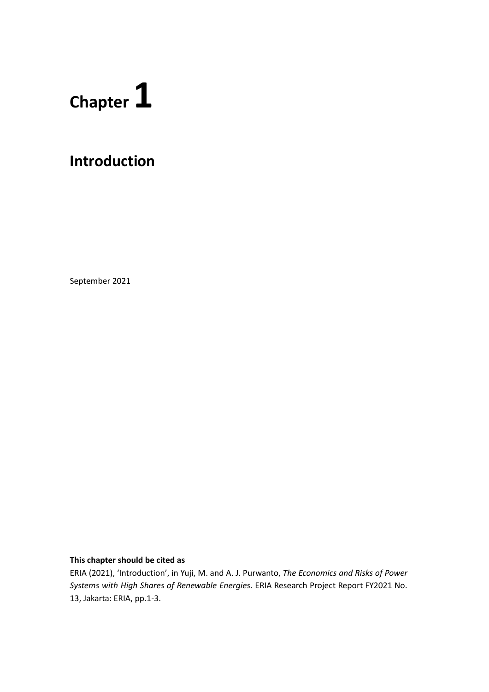## **Chapter 1**

## **Introduction**

September 2021

## **This chapter should be cited as**

ERIA (2021), 'Introduction', in Yuji, M. and A. J. Purwanto, *The Economics and Risks of Power Systems with High Shares of Renewable Energies.* ERIA Research Project Report FY2021 No. 13, Jakarta: ERIA, pp.1-3.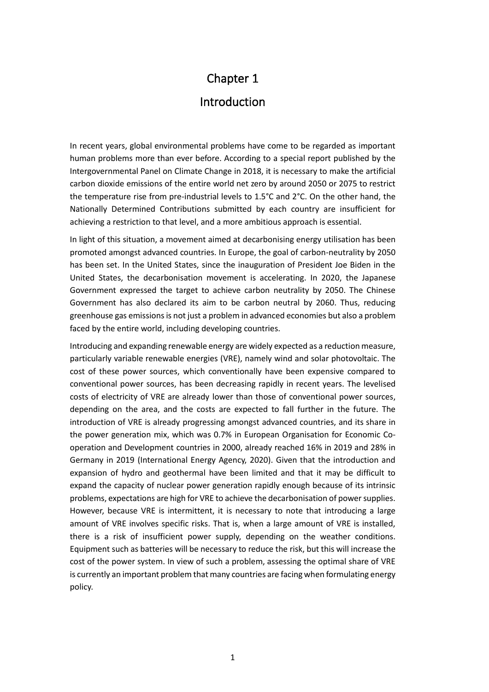## Chapter 1 Introduction

In recent years, global environmental problems have come to be regarded as important human problems more than ever before. According to a special report published by the Intergovernmental Panel on Climate Change in 2018, it is necessary to make the artificial carbon dioxide emissions of the entire world net zero by around 2050 or 2075 to restrict the temperature rise from pre-industrial levels to 1.5°C and 2°C. On the other hand, the Nationally Determined Contributions submitted by each country are insufficient for achieving a restriction to that level, and a more ambitious approach is essential.

In light of this situation, a movement aimed at decarbonising energy utilisation has been promoted amongst advanced countries. In Europe, the goal of carbon-neutrality by 2050 has been set. In the United States, since the inauguration of President Joe Biden in the United States, the decarbonisation movement is accelerating. In 2020, the Japanese Government expressed the target to achieve carbon neutrality by 2050. The Chinese Government has also declared its aim to be carbon neutral by 2060. Thus, reducing greenhouse gas emissions is not just a problem in advanced economies but also a problem faced by the entire world, including developing countries.

Introducing and expanding renewable energy are widely expected as a reduction measure, particularly variable renewable energies (VRE), namely wind and solar photovoltaic. The cost of these power sources, which conventionally have been expensive compared to conventional power sources, has been decreasing rapidly in recent years. The levelised costs of electricity of VRE are already lower than those of conventional power sources, depending on the area, and the costs are expected to fall further in the future. The introduction of VRE is already progressing amongst advanced countries, and its share in the power generation mix, which was 0.7% in European Organisation for Economic Cooperation and Development countries in 2000, already reached 16% in 2019 and 28% in Germany in 2019 (International Energy Agency, 2020). Given that the introduction and expansion of hydro and geothermal have been limited and that it may be difficult to expand the capacity of nuclear power generation rapidly enough because of its intrinsic problems, expectations are high for VRE to achieve the decarbonisation of power supplies. However, because VRE is intermittent, it is necessary to note that introducing a large amount of VRE involves specific risks. That is, when a large amount of VRE is installed, there is a risk of insufficient power supply, depending on the weather conditions. Equipment such as batteries will be necessary to reduce the risk, but this will increase the cost of the power system. In view of such a problem, assessing the optimal share of VRE is currently an important problem that many countries are facing when formulating energy policy.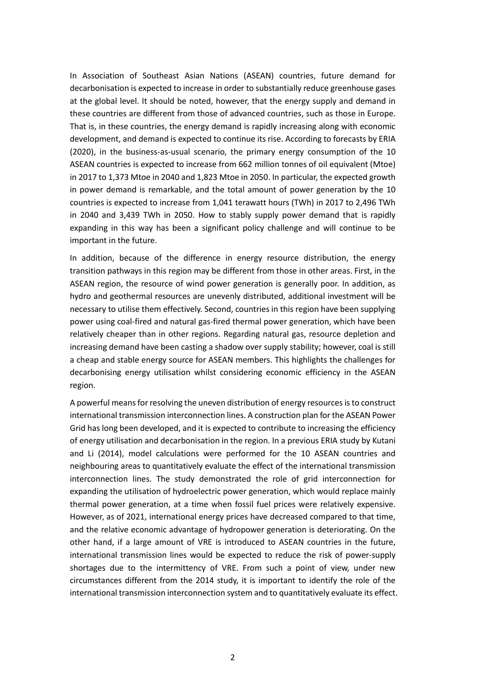In Association of Southeast Asian Nations (ASEAN) countries, future demand for decarbonisation is expected to increase in order to substantially reduce greenhouse gases at the global level. It should be noted, however, that the energy supply and demand in these countries are different from those of advanced countries, such as those in Europe. That is, in these countries, the energy demand is rapidly increasing along with economic development, and demand is expected to continue its rise. According to forecasts by ERIA (2020), in the business-as-usual scenario, the primary energy consumption of the 10 ASEAN countries is expected to increase from 662 million tonnes of oil equivalent (Mtoe) in 2017 to 1,373 Mtoe in 2040 and 1,823 Mtoe in 2050. In particular, the expected growth in power demand is remarkable, and the total amount of power generation by the 10 countries is expected to increase from 1,041 terawatt hours (TWh) in 2017 to 2,496 TWh in 2040 and 3,439 TWh in 2050. How to stably supply power demand that is rapidly expanding in this way has been a significant policy challenge and will continue to be important in the future.

In addition, because of the difference in energy resource distribution, the energy transition pathways in this region may be different from those in other areas. First, in the ASEAN region, the resource of wind power generation is generally poor. In addition, as hydro and geothermal resources are unevenly distributed, additional investment will be necessary to utilise them effectively. Second, countries in this region have been supplying power using coal-fired and natural gas-fired thermal power generation, which have been relatively cheaper than in other regions. Regarding natural gas, resource depletion and increasing demand have been casting a shadow over supply stability; however, coal is still a cheap and stable energy source for ASEAN members. This highlights the challenges for decarbonising energy utilisation whilst considering economic efficiency in the ASEAN region.

A powerful means for resolving the uneven distribution of energy resources is to construct international transmission interconnection lines. A construction plan for the ASEAN Power Grid has long been developed, and it is expected to contribute to increasing the efficiency of energy utilisation and decarbonisation in the region. In a previous ERIA study by Kutani and Li (2014), model calculations were performed for the 10 ASEAN countries and neighbouring areas to quantitatively evaluate the effect of the international transmission interconnection lines. The study demonstrated the role of grid interconnection for expanding the utilisation of hydroelectric power generation, which would replace mainly thermal power generation, at a time when fossil fuel prices were relatively expensive. However, as of 2021, international energy prices have decreased compared to that time, and the relative economic advantage of hydropower generation is deteriorating. On the other hand, if a large amount of VRE is introduced to ASEAN countries in the future, international transmission lines would be expected to reduce the risk of power-supply shortages due to the intermittency of VRE. From such a point of view, under new circumstances different from the 2014 study, it is important to identify the role of the international transmission interconnection system and to quantitatively evaluate its effect.